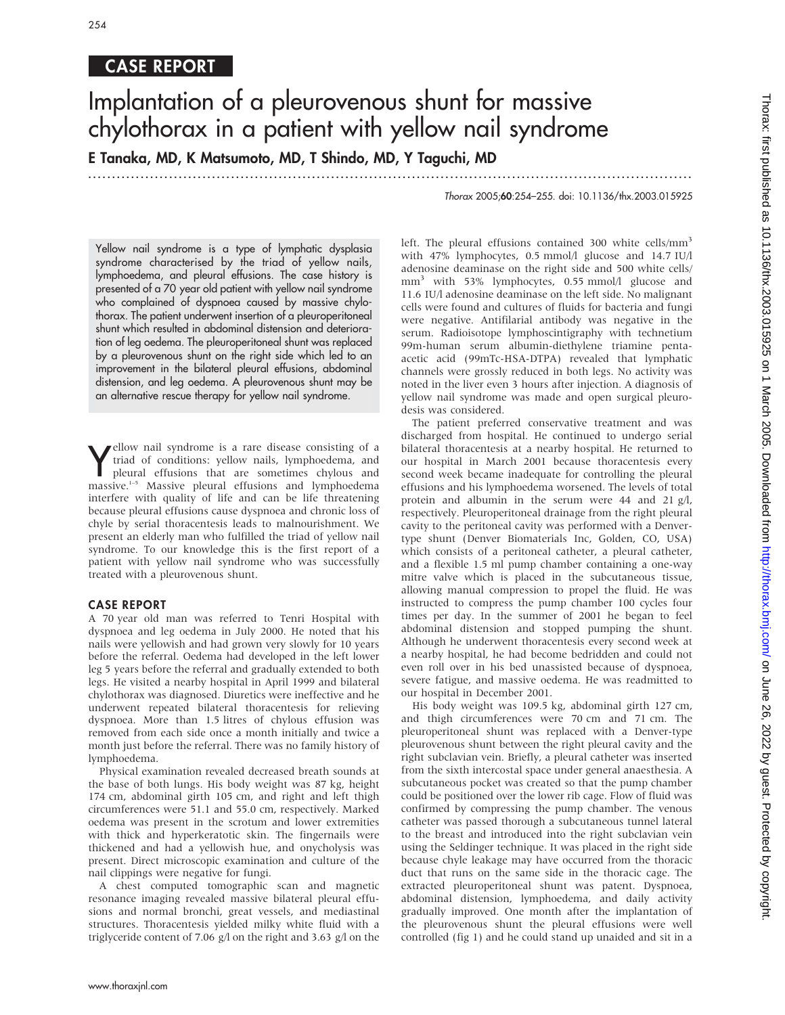## CASE REPORT

# Implantation of a pleurovenous shunt for massive chylothorax in a patient with yellow nail syndrome

E Tanaka, MD, K Matsumoto, MD, T Shindo, MD, Y Taguchi, MD

...............................................................................................................................

Thorax 2005;60:254–255. doi: 10.1136/thx.2003.015925

Yellow nail syndrome is a type of lymphatic dysplasia syndrome characterised by the triad of yellow nails, lymphoedema, and pleural effusions. The case history is presented of a 70 year old patient with yellow nail syndrome who complained of dyspnoea caused by massive chylothorax. The patient underwent insertion of a pleuroperitoneal shunt which resulted in abdominal distension and deterioration of leg oedema. The pleuroperitoneal shunt was replaced by a pleurovenous shunt on the right side which led to an improvement in the bilateral pleural effusions, abdominal distension, and leg oedema. A pleurovenous shunt may be an alternative rescue therapy for yellow nail syndrome.

**V** ellow nall syndrome is a rare disease consisting of a<br>triad of conditions: yellow nails, lymphoedema, and<br>pleural effusions that are sometimes chylous and<br>massive.<sup>1-5</sup> Massive pleural effusions and lymphoedema ellow nail syndrome is a rare disease consisting of a triad of conditions: yellow nails, lymphoedema, and pleural effusions that are sometimes chylous and interfere with quality of life and can be life threatening because pleural effusions cause dyspnoea and chronic loss of chyle by serial thoracentesis leads to malnourishment. We present an elderly man who fulfilled the triad of yellow nail syndrome. To our knowledge this is the first report of a patient with yellow nail syndrome who was successfully treated with a pleurovenous shunt.

### CASE REPORT

A 70 year old man was referred to Tenri Hospital with dyspnoea and leg oedema in July 2000. He noted that his nails were yellowish and had grown very slowly for 10 years before the referral. Oedema had developed in the left lower leg 5 years before the referral and gradually extended to both legs. He visited a nearby hospital in April 1999 and bilateral chylothorax was diagnosed. Diuretics were ineffective and he underwent repeated bilateral thoracentesis for relieving dyspnoea. More than 1.5 litres of chylous effusion was removed from each side once a month initially and twice a month just before the referral. There was no family history of lymphoedema.

Physical examination revealed decreased breath sounds at the base of both lungs. His body weight was 87 kg, height 174 cm, abdominal girth 105 cm, and right and left thigh circumferences were 51.1 and 55.0 cm, respectively. Marked oedema was present in the scrotum and lower extremities with thick and hyperkeratotic skin. The fingernails were thickened and had a yellowish hue, and onycholysis was present. Direct microscopic examination and culture of the nail clippings were negative for fungi.

A chest computed tomographic scan and magnetic resonance imaging revealed massive bilateral pleural effusions and normal bronchi, great vessels, and mediastinal structures. Thoracentesis yielded milky white fluid with a triglyceride content of 7.06 g/l on the right and 3.63 g/l on the with 47% lymphocytes, 0.5 mmol/l glucose and 14.7 IU/l adenosine deaminase on the right side and 500 white cells/ mm<sup>3</sup> with 53% lymphocytes, 0.55 mmol/l glucose and 11.6 IU/l adenosine deaminase on the left side. No malignant cells were found and cultures of fluids for bacteria and fungi were negative. Antifilarial antibody was negative in the serum. Radioisotope lymphoscintigraphy with technetium 99m-human serum albumin-diethylene triamine pentaacetic acid (99mTc-HSA-DTPA) revealed that lymphatic channels were grossly reduced in both legs. No activity was noted in the liver even 3 hours after injection. A diagnosis of yellow nail syndrome was made and open surgical pleurodesis was considered. The patient preferred conservative treatment and was

left. The pleural effusions contained 300 white cells/mm<sup>3</sup>

discharged from hospital. He continued to undergo serial bilateral thoracentesis at a nearby hospital. He returned to our hospital in March 2001 because thoracentesis every second week became inadequate for controlling the pleural effusions and his lymphoedema worsened. The levels of total protein and albumin in the serum were 44 and 21 g/l, respectively. Pleuroperitoneal drainage from the right pleural cavity to the peritoneal cavity was performed with a Denvertype shunt (Denver Biomaterials Inc, Golden, CO, USA) which consists of a peritoneal catheter, a pleural catheter, and a flexible 1.5 ml pump chamber containing a one-way mitre valve which is placed in the subcutaneous tissue, allowing manual compression to propel the fluid. He was instructed to compress the pump chamber 100 cycles four times per day. In the summer of 2001 he began to feel abdominal distension and stopped pumping the shunt. Although he underwent thoracentesis every second week at a nearby hospital, he had become bedridden and could not even roll over in his bed unassisted because of dyspnoea, severe fatigue, and massive oedema. He was readmitted to our hospital in December 2001.

His body weight was 109.5 kg, abdominal girth 127 cm, and thigh circumferences were 70 cm and 71 cm. The pleuroperitoneal shunt was replaced with a Denver-type pleurovenous shunt between the right pleural cavity and the right subclavian vein. Briefly, a pleural catheter was inserted from the sixth intercostal space under general anaesthesia. A subcutaneous pocket was created so that the pump chamber could be positioned over the lower rib cage. Flow of fluid was confirmed by compressing the pump chamber. The venous catheter was passed thorough a subcutaneous tunnel lateral to the breast and introduced into the right subclavian vein using the Seldinger technique. It was placed in the right side because chyle leakage may have occurred from the thoracic duct that runs on the same side in the thoracic cage. The extracted pleuroperitoneal shunt was patent. Dyspnoea, abdominal distension, lymphoedema, and daily activity gradually improved. One month after the implantation of the pleurovenous shunt the pleural effusions were well controlled (fig 1) and he could stand up unaided and sit in a